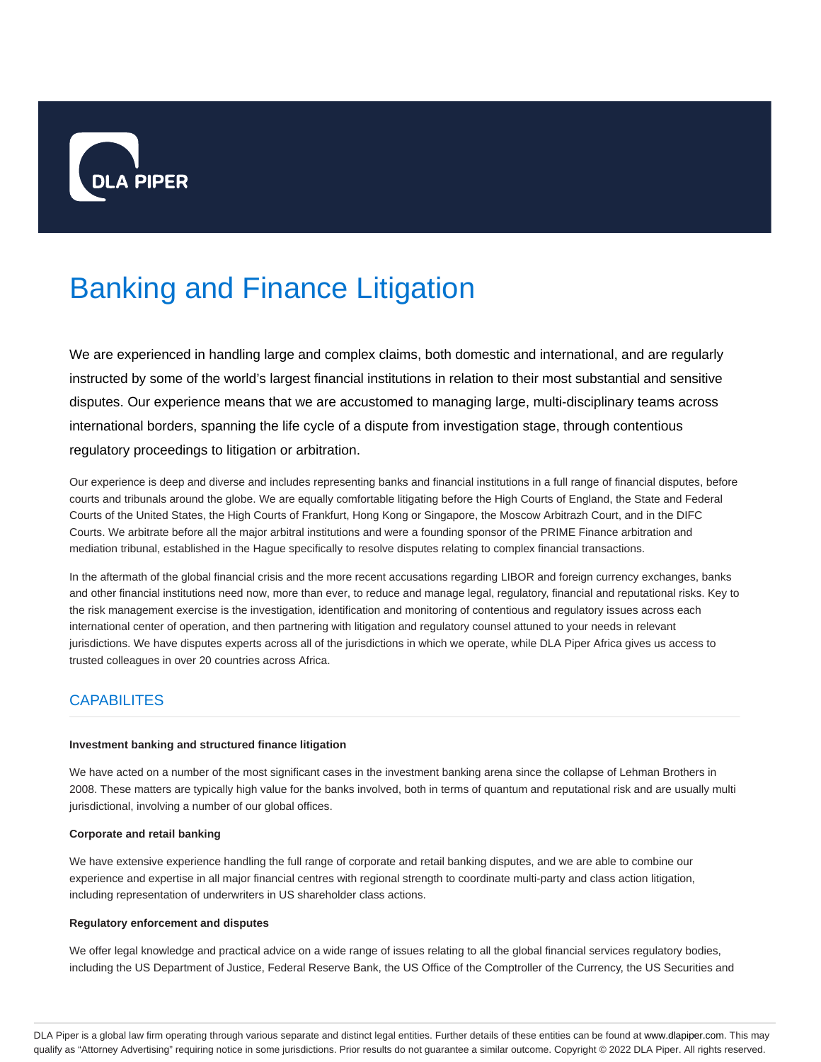

# Banking and Finance Litigation

We are experienced in handling large and complex claims, both domestic and international, and are regularly instructed by some of the world's largest financial institutions in relation to their most substantial and sensitive disputes. Our experience means that we are accustomed to managing large, multi-disciplinary teams across international borders, spanning the life cycle of a dispute from investigation stage, through contentious regulatory proceedings to litigation or arbitration.

Our experience is deep and diverse and includes representing banks and financial institutions in a full range of financial disputes, before courts and tribunals around the globe. We are equally comfortable litigating before the High Courts of England, the State and Federal Courts of the United States, the High Courts of Frankfurt, Hong Kong or Singapore, the Moscow Arbitrazh Court, and in the DIFC Courts. We arbitrate before all the major arbitral institutions and were a founding sponsor of the PRIME Finance arbitration and mediation tribunal, established in the Hague specifically to resolve disputes relating to complex financial transactions.

In the aftermath of the global financial crisis and the more recent accusations regarding LIBOR and foreign currency exchanges, banks and other financial institutions need now, more than ever, to reduce and manage legal, regulatory, financial and reputational risks. Key to the risk management exercise is the investigation, identification and monitoring of contentious and regulatory issues across each international center of operation, and then partnering with litigation and regulatory counsel attuned to your needs in relevant jurisdictions. We have disputes experts across all of the jurisdictions in which we operate, while DLA Piper Africa gives us access to trusted colleagues in over 20 countries across Africa.

## **CAPABILITES**

#### **Investment banking and structured finance litigation**

We have acted on a number of the most significant cases in the investment banking arena since the collapse of Lehman Brothers in 2008. These matters are typically high value for the banks involved, both in terms of quantum and reputational risk and are usually multi jurisdictional, involving a number of our global offices.

## **Corporate and retail banking**

We have extensive experience handling the full range of corporate and retail banking disputes, and we are able to combine our experience and expertise in all major financial centres with regional strength to coordinate multi-party and class action litigation, including representation of underwriters in US shareholder class actions.

#### **Regulatory enforcement and disputes**

We offer legal knowledge and practical advice on a wide range of issues relating to all the global financial services regulatory bodies, including the US Department of Justice, Federal Reserve Bank, the US Office of the Comptroller of the Currency, the US Securities and

DLA Piper is a global law firm operating through various separate and distinct legal entities. Further details of these entities can be found at www.dlapiper.com. This may qualify as "Attorney Advertising" requiring notice in some jurisdictions. Prior results do not guarantee a similar outcome. Copyright @ 2022 DLA Piper. All rights reserved.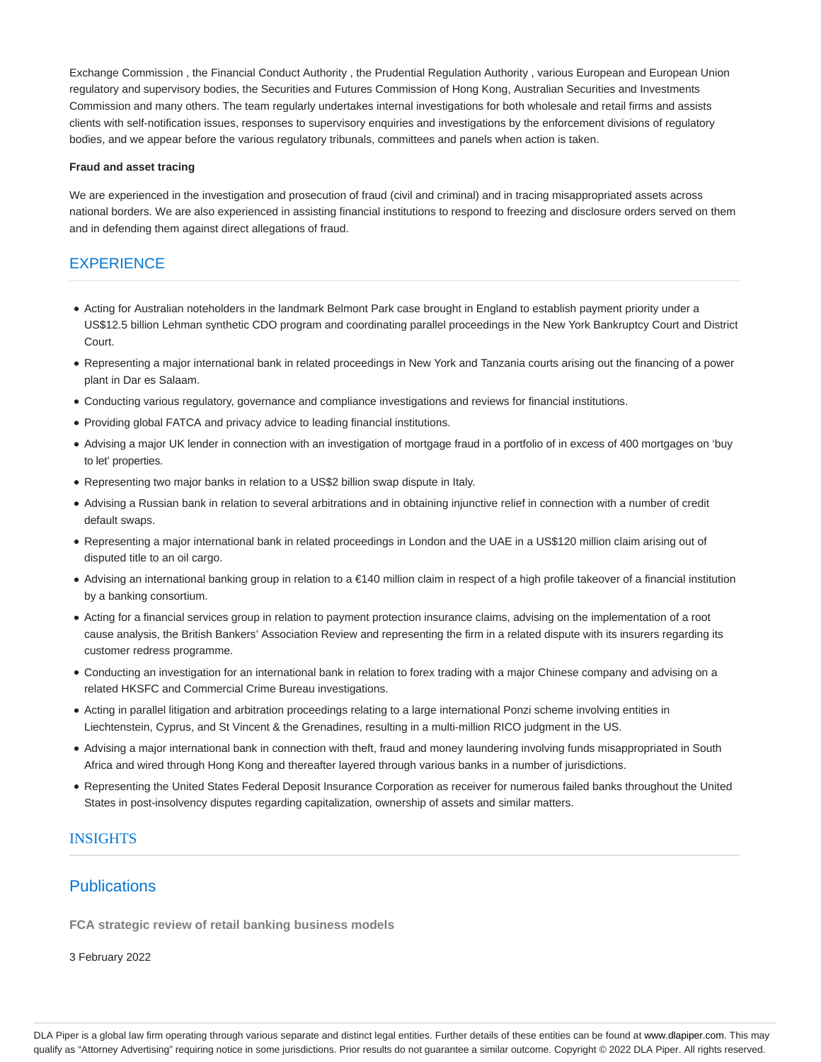Exchange Commission , the Financial Conduct Authority , the Prudential Regulation Authority , various European and European Union regulatory and supervisory bodies, the Securities and Futures Commission of Hong Kong, Australian Securities and Investments Commission and many others. The team regularly undertakes internal investigations for both wholesale and retail firms and assists clients with self-notification issues, responses to supervisory enquiries and investigations by the enforcement divisions of regulatory bodies, and we appear before the various regulatory tribunals, committees and panels when action is taken.

#### **Fraud and asset tracing**

We are experienced in the investigation and prosecution of fraud (civil and criminal) and in tracing misappropriated assets across national borders. We are also experienced in assisting financial institutions to respond to freezing and disclosure orders served on them and in defending them against direct allegations of fraud.

## **EXPERIENCE**

- Acting for Australian noteholders in the landmark Belmont Park case brought in England to establish payment priority under a US\$12.5 billion Lehman synthetic CDO program and coordinating parallel proceedings in the New York Bankruptcy Court and District Court.
- Representing a major international bank in related proceedings in New York and Tanzania courts arising out the financing of a power plant in Dar es Salaam.
- Conducting various regulatory, governance and compliance investigations and reviews for financial institutions.
- Providing global FATCA and privacy advice to leading financial institutions.
- Advising a major UK lender in connection with an investigation of mortgage fraud in a portfolio of in excess of 400 mortgages on 'buy to let' properties.
- Representing two major banks in relation to a US\$2 billion swap dispute in Italy.
- Advising a Russian bank in relation to several arbitrations and in obtaining injunctive relief in connection with a number of credit default swaps.
- Representing a major international bank in related proceedings in London and the UAE in a US\$120 million claim arising out of disputed title to an oil cargo.
- Advising an international banking group in relation to a €140 million claim in respect of a high profile takeover of a financial institution by a banking consortium.
- Acting for a financial services group in relation to payment protection insurance claims, advising on the implementation of a root cause analysis, the British Bankers' Association Review and representing the firm in a related dispute with its insurers regarding its customer redress programme.
- Conducting an investigation for an international bank in relation to forex trading with a major Chinese company and advising on a related HKSFC and Commercial Crime Bureau investigations.
- Acting in parallel litigation and arbitration proceedings relating to a large international Ponzi scheme involving entities in Liechtenstein, Cyprus, and St Vincent & the Grenadines, resulting in a multi-million RICO judgment in the US.
- Advising a major international bank in connection with theft, fraud and money laundering involving funds misappropriated in South Africa and wired through Hong Kong and thereafter layered through various banks in a number of jurisdictions.
- Representing the United States Federal Deposit Insurance Corporation as receiver for numerous failed banks throughout the United States in post-insolvency disputes regarding capitalization, ownership of assets and similar matters.

## INSIGHTS

## **Publications**

**FCA strategic review of retail banking business models**

3 February 2022

DLA Piper is a global law firm operating through various separate and distinct legal entities. Further details of these entities can be found at www.dlapiper.com. This may qualify as "Attorney Advertising" requiring notice in some jurisdictions. Prior results do not guarantee a similar outcome. Copyright @ 2022 DLA Piper. All rights reserved.